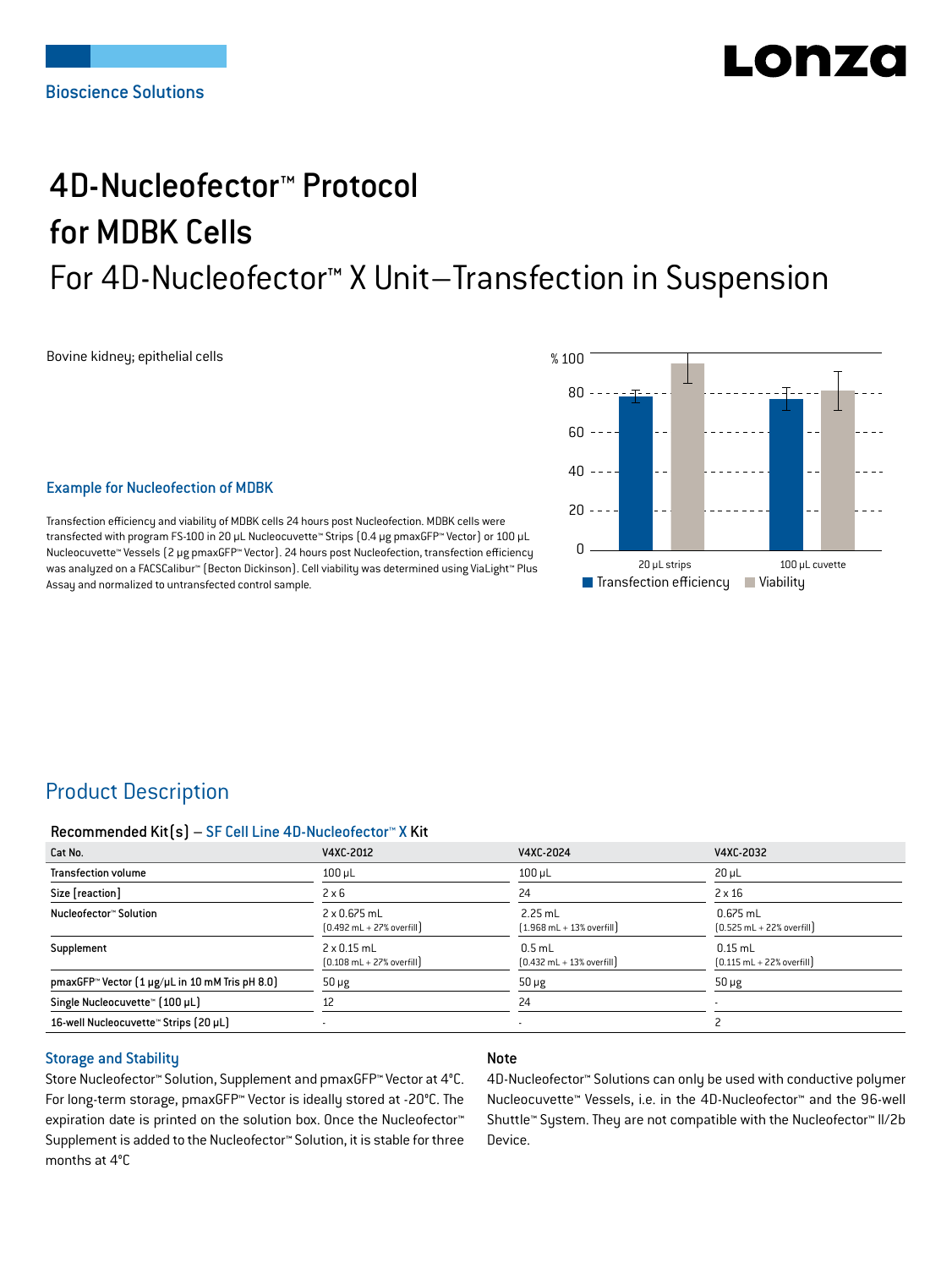# LODZO

## 4D-Nucleofector™ Protocol for MDBK Cells For 4D-Nucleofector™ X Unit–Transfection in Suspension

Bovine kidney; epithelial cells



#### Example for Nucleofection of MDBK

Transfection efficiency and viability of MDBK cells 24 hours post Nucleofection. MDBK cells were transfected with program FS-100 in 20 μL Nucleocuvette™ Strips (0.4 μg pmaxGFP™ Vector) or 100 μL Nucleocuvette™ Vessels (2 μg pmaxGFP™ Vector). 24 hours post Nucleofection, transfection efficiency was analyzed on a FACSCalibur™ (Becton Dickinson). Cell viability was determined using ViaLight™ Plus Assay and normalized to untransfected control sample.

## Product Description

#### Recommended Kit(s) – SF Cell Line 4D-Nucleofector™ X Kit

| Cat No.                                                            | V4XC-2012                                                           | V4XC-2024                                                 | V4XC-2032                                                  |
|--------------------------------------------------------------------|---------------------------------------------------------------------|-----------------------------------------------------------|------------------------------------------------------------|
| <b>Transfection volume</b>                                         | $100$ µL                                                            | $100$ µL                                                  | $20 \mu L$                                                 |
| Size [reaction]                                                    | $2 \times 6$                                                        | 24                                                        | $2 \times 16$                                              |
| Nucleofector™ Solution                                             | $2 \times 0.675$ mL<br>$[0.492 \text{ mL} + 27\% \text{ overfill}]$ | $2.25$ mL<br>$(1.968 \text{ mL} + 13\% \text{ overfill})$ | $0.675$ mL<br>$[0.525 \text{ mL} + 22\% \text{ overfill}]$ |
| Supplement                                                         | $2 \times 0.15$ mL<br>$[0.108 \text{ mL} + 27\% \text{ overfill}]$  | $0.5$ mL<br>$[0.432 \text{ mL} + 13\% \text{ overfill}]$  | $0.15$ mL<br>$[0.115 \text{ mL} + 22\% \text{ overfill}]$  |
| pmaxGFP <sup>*</sup> Vector $[1 \mu g/\mu L$ in 10 mM Tris pH 8.0) | $50 \mu g$                                                          | $50 \mu g$                                                | $50 \mu g$                                                 |
| Single Nucleocuvette™ (100 µL)                                     | 12                                                                  | 24                                                        |                                                            |
| 16-well Nucleocuvette <sup>™</sup> Strips (20 µL)                  |                                                                     |                                                           |                                                            |

#### Storage and Stability

Store Nucleofector™ Solution, Supplement and pmaxGFP™ Vector at 4°C. For long-term storage, pmaxGFP™ Vector is ideally stored at -20°C. The expiration date is printed on the solution box. Once the Nucleofector™ Supplement is added to the Nucleofector™ Solution, it is stable for three months at 4°C

#### Note

4D-Nucleofector™ Solutions can only be used with conductive polymer Nucleocuvette™ Vessels, i.e. in the 4D-Nucleofector™ and the 96-well Shuttle™ System. They are not compatible with the Nucleofector™ II/2b Device.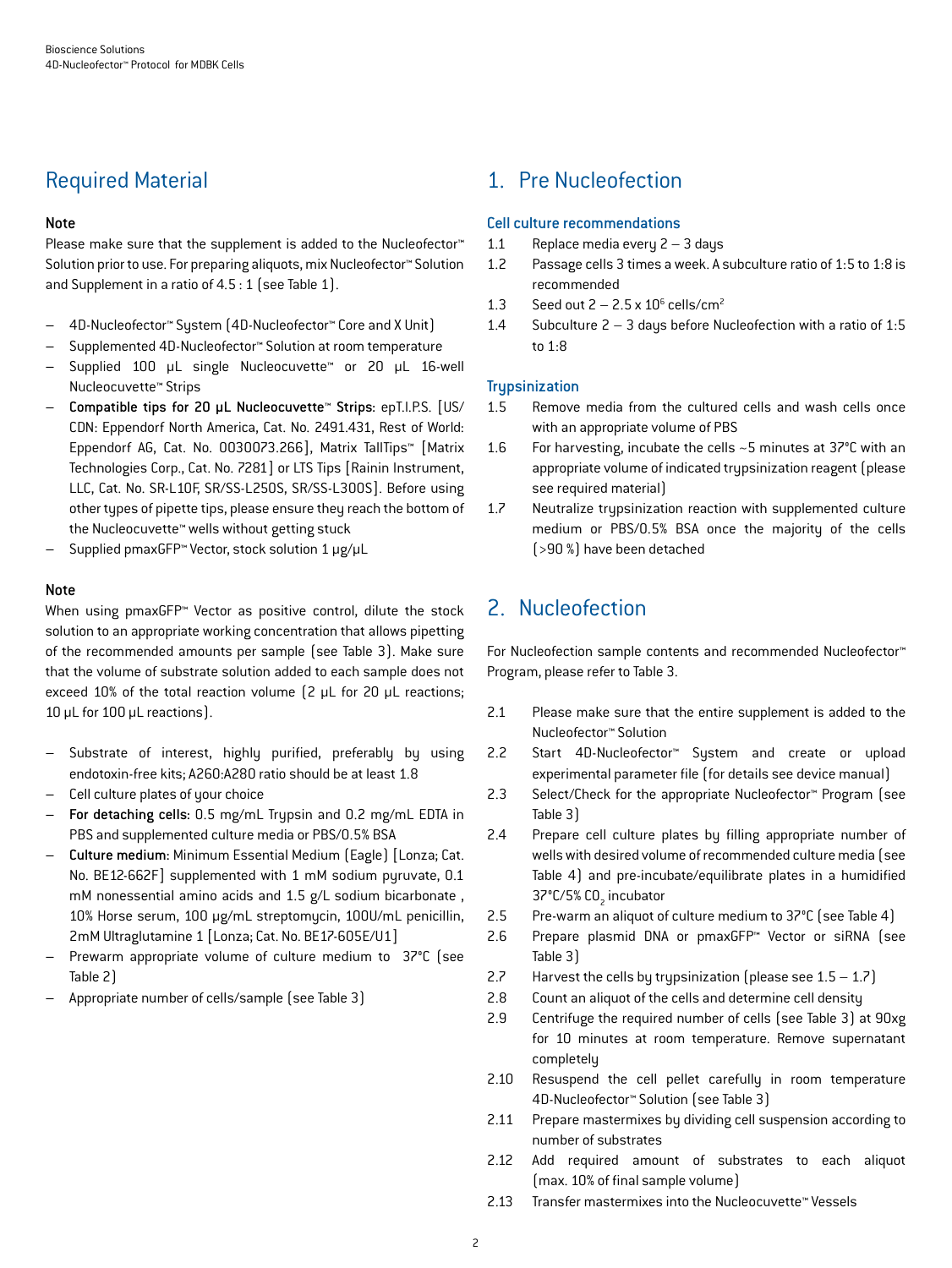## Required Material

#### Note

Please make sure that the supplement is added to the Nucleofector<sup>™</sup> Solution prior to use. For preparing aliquots, mix Nucleofector™ Solution and Supplement in a ratio of 4.5 : 1 (see Table 1).

- 4D-Nucleofector™ System (4D-Nucleofector™ Core and X Unit)
- Supplemented 4D-Nucleofector™ Solution at room temperature
- Supplied 100 µL single Nucleocuvette™ or 20 µL 16-well Nucleocuvette™ Strips
- Compatible tips for 20 µL Nucleocuvette™ Strips: epT.I.P.S. [US/ CDN: Eppendorf North America, Cat. No. 2491.431, Rest of World: Eppendorf AG, Cat. No. 0030073.266], Matrix TallTips™ [Matrix Technologies Corp., Cat. No. 7281] or LTS Tips [Rainin Instrument, LLC, Cat. No. SR-L10F, SR/SS-L250S, SR/SS-L300S]. Before using other types of pipette tips, please ensure they reach the bottom of the Nucleocuvette™ wells without getting stuck
- Supplied pmaxGFP™ Vector, stock solution 1 μg/μL

#### Note

When using pmaxGFP™ Vector as positive control, dilute the stock solution to an appropriate working concentration that allows pipetting of the recommended amounts per sample (see Table 3). Make sure that the volume of substrate solution added to each sample does not exceed 10% of the total reaction volume (2 μL for 20 μL reactions; 10 μL for 100 μL reactions).

- Substrate of interest, highly purified, preferably by using endotoxin-free kits; A260:A280 ratio should be at least 1.8
- Cell culture plates of your choice
- For detaching cells: 0.5 mg/mL Trypsin and 0.2 mg/mL EDTA in PBS and supplemented culture media or PBS/0.5% BSA
- Culture medium: Minimum Essential Medium (Eagle) [Lonza; Cat. No. BE12-662F] supplemented with 1 mM sodium pyruvate, 0.1 mM nonessential amino acids and 1.5 g/L sodium bicarbonate , 10% Horse serum, 100 μg/mL streptomycin, 100U/mL penicillin, 2mM Ultraglutamine 1 [Lonza; Cat. No. BE17-605E/U1]
- Prewarm appropriate volume of culture medium to 37°C (see Table 2)
- Appropriate number of cells/sample (see Table 3)

## 1. Pre Nucleofection

#### Cell culture recommendations

- 1.1 Replace media every 2 3 days
- 1.2 Passage cells 3 times a week. A subculture ratio of 1:5 to 1:8 is recommended
- 1.3 Seed out  $2 2.5 \times 10^6$  cells/cm<sup>2</sup>
- 1.4 Subculture 2 3 days before Nucleofection with a ratio of 1:5 to 1:8

#### **Trypsinization**

- 1.5 Remove media from the cultured cells and wash cells once with an appropriate volume of PBS
- 1.6 For harvesting, incubate the cells ~5 minutes at 37°C with an appropriate volume of indicated trypsinization reagent (please see required material)
- 1.7 Neutralize trypsinization reaction with supplemented culture medium or PBS/0.5% BSA once the majority of the cells (>90 %) have been detached

## 2. Nucleofection

For Nucleofection sample contents and recommended Nucleofector™ Program, please refer to Table 3.

- 2.1 Please make sure that the entire supplement is added to the Nucleofector™ Solution
- 2.2 Start 4D-Nucleofector™ System and create or upload experimental parameter file (for details see device manual)
- 2.3 Select/Check for the appropriate Nucleofector™ Program (see Table 3)
- 2.4 Prepare cell culture plates by filling appropriate number of wells with desired volume of recommended culture media (see Table 4) and pre-incubate/equilibrate plates in a humidified 37°C/5% CO<sub>2</sub> incubator
- 2.5 Pre-warm an aliquot of culture medium to 37°C (see Table 4)
- 2.6 Prepare plasmid DNA or pmaxGFP™ Vector or siRNA (see Table 3)
- 2.7 Harvest the cells by trypsinization (please see  $1.5 1.7$ )
- 2.8 Count an aliquot of the cells and determine cell density
- 2.9 Centrifuge the required number of cells (see Table 3) at 90xg for 10 minutes at room temperature. Remove supernatant completely
- 2.10 Resuspend the cell pellet carefully in room temperature 4D-Nucleofector™ Solution (see Table 3)
- 2.11 Prepare mastermixes by dividing cell suspension according to number of substrates
- 2.12 Add required amount of substrates to each aliquot (max. 10% of final sample volume)
- 2.13 Transfer mastermixes into the Nucleocuvette™ Vessels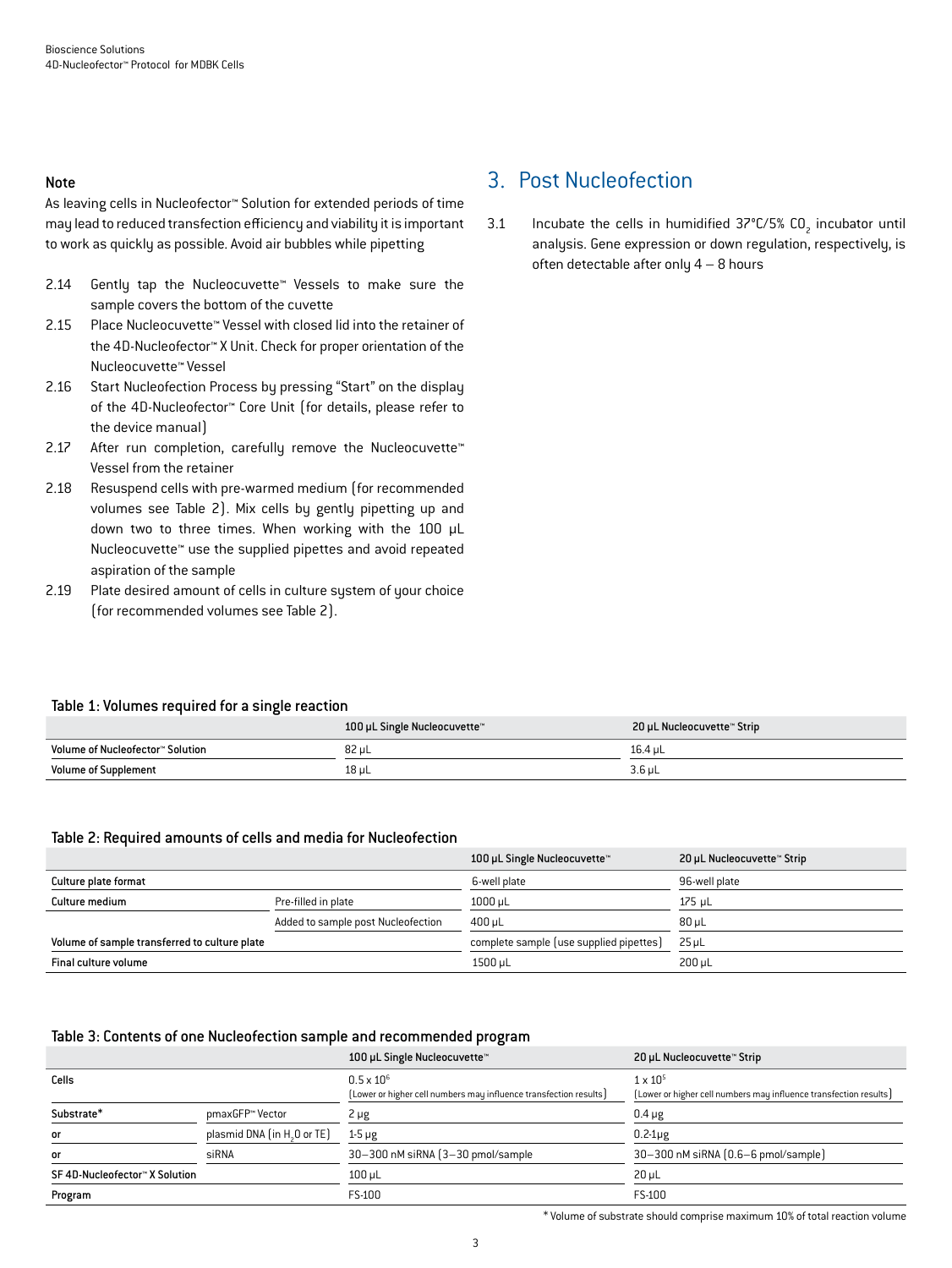#### Note

As leaving cells in Nucleofector™ Solution for extended periods of time may lead to reduced transfection efficiency and viability it is important to work as quickly as possible. Avoid air bubbles while pipetting

- 2.14 Gently tap the Nucleocuvette™ Vessels to make sure the sample covers the bottom of the cuvette
- 2.15 Place Nucleocuvette™ Vessel with closed lid into the retainer of the 4D-Nucleofector™ X Unit. Check for proper orientation of the Nucleocuvette™ Vessel
- 2.16 Start Nucleofection Process by pressing "Start" on the display of the 4D-Nucleofector™ Core Unit (for details, please refer to the device manual)
- 2.17 After run completion, carefully remove the Nucleocuvette™ Vessel from the retainer
- 2.18 Resuspend cells with pre-warmed medium (for recommended volumes see Table 2). Mix cells by gently pipetting up and down two to three times. When working with the 100 µL Nucleocuvette™ use the supplied pipettes and avoid repeated aspiration of the sample
- 2.19 Plate desired amount of cells in culture system of your choice (for recommended volumes see Table 2).

## 3. Post Nucleofection

3.1 Incubate the cells in humidified  $37^{\circ}$ C/5% CO<sub>2</sub> incubator until analysis. Gene expression or down regulation, respectively, is often detectable after only  $4 - 8$  hours

#### Table 1: Volumes required for a single reaction

|                                  | 100 µL Single Nucleocuvette™ | 20 µL Nucleocuvette™ Strip |
|----------------------------------|------------------------------|----------------------------|
| Volume of Nucleofector™ Solution | 82 µL                        | 16.4 uL                    |
| <b>Volume of Supplement</b>      | 18 µL                        | $3.6$ µL                   |

#### Table 2: Required amounts of cells and media for Nucleofection

|                                               |                                    | 100 µL Single Nucleocuvette™            | 20 µL Nucleocuvette™ Strip |
|-----------------------------------------------|------------------------------------|-----------------------------------------|----------------------------|
| Culture plate format                          |                                    | 6-well plate                            | 96-well plate              |
| Culture medium                                | Pre-filled in plate                | $1000$ µL                               | $175$ µL                   |
|                                               | Added to sample post Nucleofection | $400 \mu L$                             | $80 \mu L$                 |
| Volume of sample transferred to culture plate |                                    | complete sample (use supplied pipettes) | $25 \mu L$                 |
| Final culture volume                          |                                    | 1500 µL                                 | $200 \mu L$                |

#### Table 3: Contents of one Nucleofection sample and recommended program

|                               |                                         | 100 µL Single Nucleocuvette™                                      | 20 µL Nucleocuvette™ Strip                                        |
|-------------------------------|-----------------------------------------|-------------------------------------------------------------------|-------------------------------------------------------------------|
| Cells                         |                                         | $0.5 \times 10^{6}$                                               | $1 \times 10^{5}$                                                 |
|                               |                                         | (Lower or higher cell numbers may influence transfection results) | [Lower or higher cell numbers may influence transfection results] |
| Substrate*                    | pmaxGFP™ Vector                         | $2 \mu g$                                                         | $0.4 \mu g$                                                       |
| <b>or</b>                     | plasmid DNA (in H <sub>3</sub> O or TE) | $1-5 \mu g$                                                       | $0.2-1\mu$ g                                                      |
| <b>or</b>                     | siRNA                                   | 30-300 nM siRNA (3-30 pmol/sample)                                | 30-300 nM siRNA [0.6-6 pmol/sample]                               |
| SF4D-Nucleofector™ X Solution |                                         | $100 \mu L$                                                       | $20 \mu L$                                                        |
| Program                       |                                         | FS-100                                                            | FS-100                                                            |

\* Volume of substrate should comprise maximum 10% of total reaction volume